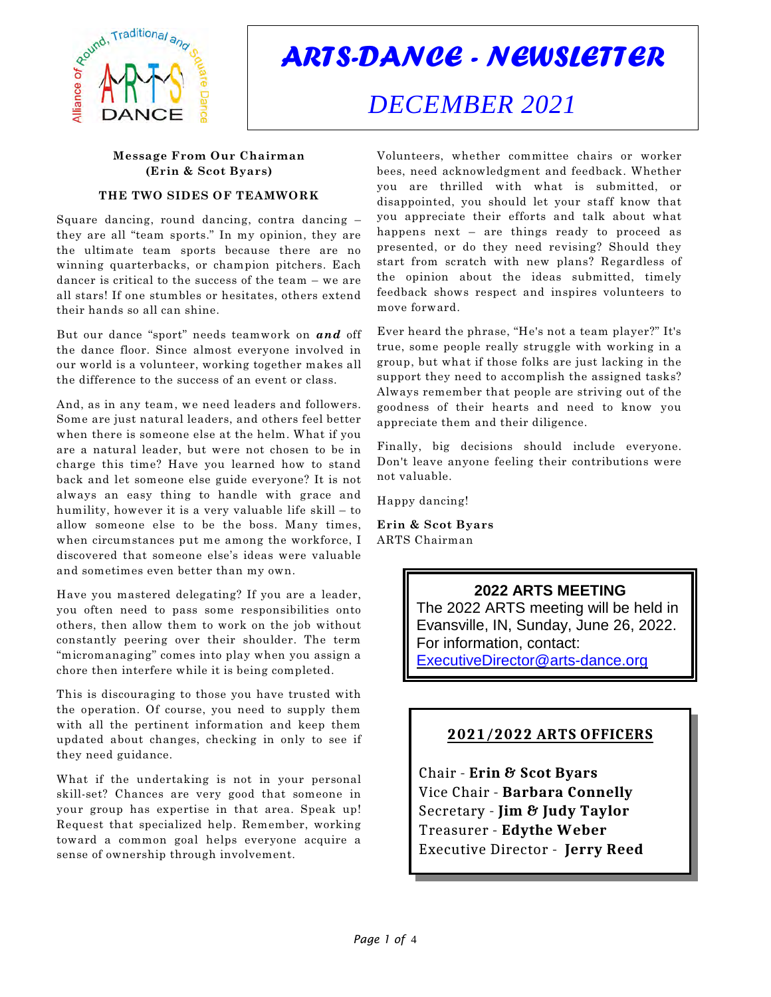

# *ARTS-DANCE - NEWSLETTER*

# *DECEMBER 2021*

### **Message From Our Chairman (Erin & Scot Byars)**

#### **THE TWO SIDES OF TEAMWORK**

Square dancing, round dancing, contra dancing – they are all "team sports." In my opinion, they are the ultimate team sports because there are no winning quarterbacks, or champion pitchers. Each dancer is critical to the success of the team – we are all stars! If one stumbles or hesitates, others extend their hands so all can shine.

But our dance "sport" needs teamwork on *and* off the dance floor. Since almost everyone involved in our world is a volunteer, working together makes all the difference to the success of an event or class.

And, as in any team, we need leaders and followers. Some are just natural leaders, and others feel better when there is someone else at the helm. What if you are a natural leader, but were not chosen to be in charge this time? Have you learned how to stand back and let someone else guide everyone? It is not always an easy thing to handle with grace and humility, however it is a very valuable life skill – to allow someone else to be the boss. Many times, when circumstances put me among the workforce, I discovered that someone else's ideas were valuable and sometimes even better than my own.

Have you mastered delegating? If you are a leader, you often need to pass some responsibilities onto others, then allow them to work on the job without constantly peering over their shoulder. The term "micromanaging" comes into play when you assign a chore then interfere while it is being completed.

This is discouraging to those you have trusted with the operation. Of course, you need to supply them with all the pertinent information and keep them updated about changes, checking in only to see if they need guidance.

What if the undertaking is not in your personal skill-set? Chances are very good that someone in your group has expertise in that area. Speak up! Request that specialized help. Remember, working toward a common goal helps everyone acquire a sense of ownership through involvement.

Volunteers, whether committee chairs or worker bees, need acknowledgment and feedback. Whether you are thrilled with what is submitted, or disappointed, you should let your staff know that you appreciate their efforts and talk about what happens next – are things ready to proceed as presented, or do they need revising? Should they start from scratch with new plans? Regardless of the opinion about the ideas submitted, timely feedback shows respect and inspires volunteers to move forward.

Ever heard the phrase, "He's not a team player?" It's true, some people really struggle with working in a group, but what if those folks are just lacking in the support they need to accomplish the assigned tasks? Always remember that people are striving out of the goodness of their hearts and need to know you appreciate them and their diligence.

Finally, big decisions should include everyone. Don't leave anyone feeling their contributions were not valuable.

Happy dancing!

**Erin & Scot Byars** ARTS Chairman

## **2022 ARTS MEETING**

The 2022 ARTS meeting will be held in Evansville, IN, Sunday, June 26, 2022. For information, contact: [ExecutiveDirector@arts-dance.org](mailto:ExecutiveDirector@arts-dance.org)

## **2021/2022 ARTS OFFICERS**

Chair - **Erin & Scot Byars** Vice Chair - **Barbara Connelly** Secretary - **Jim & Judy Taylor** Treasurer - **Edythe Weber** Executive Director - **Jerry Reed**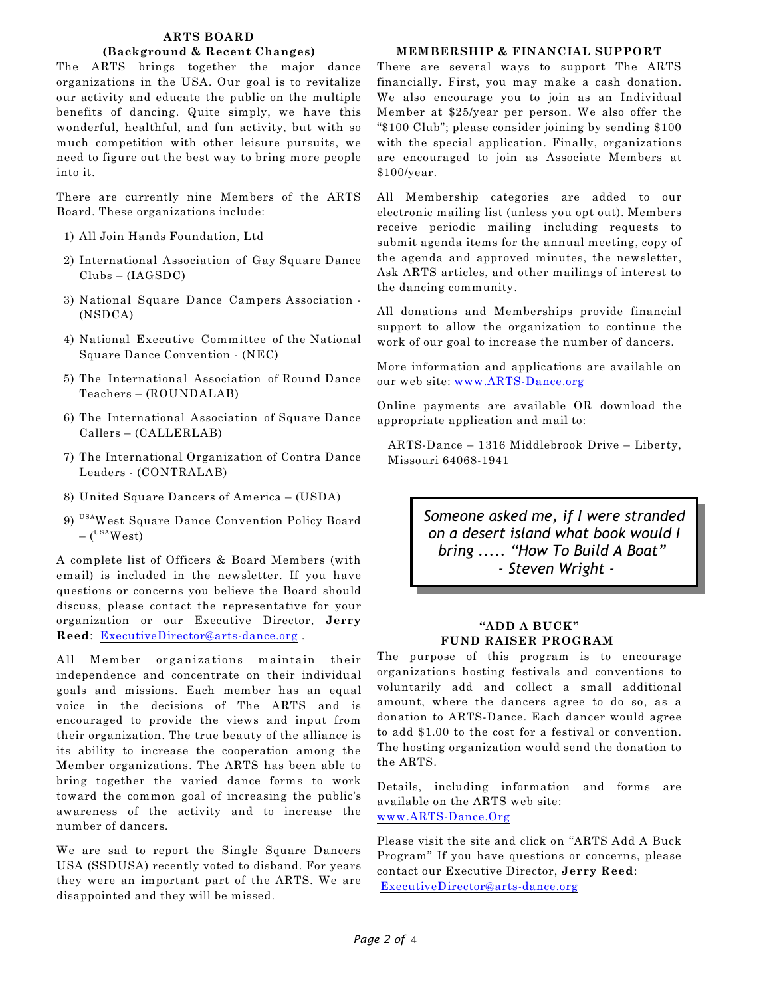#### **ARTS BOARD**

#### **(Background & Recent Changes)**

The ARTS brings together the major dance organizations in the USA. Our goal is to revitalize our activity and educate the public on the multiple benefits of dancing. Quite simply, we have this wonderful, healthful, and fun activity, but with so much competition with other leisure pursuits, we need to figure out the best way to bring more people into it.

There are currently nine Members of the ARTS Board. These organizations include:

- 1) All Join Hands Foundation, Ltd
- 2) International Association of Gay Square Dance Clubs – (IAGSDC)
- 3) National Square Dance Campers Association (NSDCA)
- 4) National Executive Committee of the National Square Dance Convention - (NEC)
- 5) The International Association of Round Dance Teachers – (ROUNDALAB)
- 6) The International Association of Square Dance Callers – (CALLERLAB)
- 7) The International Organization of Contra Dance Leaders - (CONTRALAB)
- 8) United Square Dancers of America (USDA)
- 9) USAWest Square Dance Convention Policy Board  $-$  (<sup>USA</sup>West)

A complete list of Officers & Board Members (with email) is included in the newsletter. If you have questions or concerns you believe the Board should discuss, please contact the representative for your organization or our Executive Director, **Jerry Reed**: [ExecutiveDirector@arts-dance.org](mailto:ExecutiveDirector@arts-dance.org) .

All Member organizations maintain their independence and concentrate on their individual goals and missions. Each member has an equal voice in the decisions of The ARTS and is encouraged to provide the views and input from their organization. The true beauty of the alliance is its ability to increase the cooperation among the Member organizations. The ARTS has been able to bring together the varied dance forms to work toward the common goal of increasing the public's awareness of the activity and to increase the number of dancers.

We are sad to report the Single Square Dancers USA (SSDUSA) recently voted to disband. For years they were an important part of the ARTS. We are disappointed and they will be missed.

#### **MEMBERSHIP & FINANCIAL SUPPORT**

There are several ways to support The ARTS financially. First, you may make a cash donation. We also encourage you to join as an Individual Member at \$25/year per person. We also offer the "\$100 Club"; please consider joining by sending \$100 with the special application. Finally, organizations are encouraged to join as Associate Members at \$100/year.

All Membership categories are added to our electronic mailing list (unless you opt out). Members receive periodic mailing including requests to submit agenda items for the annual meeting, copy of the agenda and approved minutes, the newsletter, Ask ARTS articles, and other mailings of interest to the dancing community.

All donations and Memberships provide financial support to allow the organization to continue the work of our goal to increase the number of dancers.

More information and applications are available on our web site: [www.ARTS-Dance.org](http://www.ARTS-Dance.org)

Online payments are available OR download the appropriate application and mail to:

ARTS-Dance – 1316 Middlebrook Drive – Liberty, Missouri 64068-1941

> *Someone asked me, if I were stranded on a desert island what book would I bring ..... "How To Build A Boat" - Steven Wright -*

#### **"ADD A BUCK" FUND RAISER PROGRAM**

The purpose of this program is to encourage organizations hosting festivals and conventions to voluntarily add and collect a small additional amount, where the dancers agree to do so, as a donation to ARTS-Dance. Each dancer would agree to add \$1.00 to the cost for a festival or convention. The hosting organization would send the donation to the ARTS.

Details, including information and forms are available on the ARTS web site: [www.ARTS-Dance.Org](http://www.ARTS-Dance.Org)

Please visit the site and click on "ARTS Add A Buck Program" If you have questions or concerns, please contact our Executive Director, **Jerry Reed**: [ExecutiveDirector@arts-dance.org](mailto:ExecutiveDirector@arts-dance.org)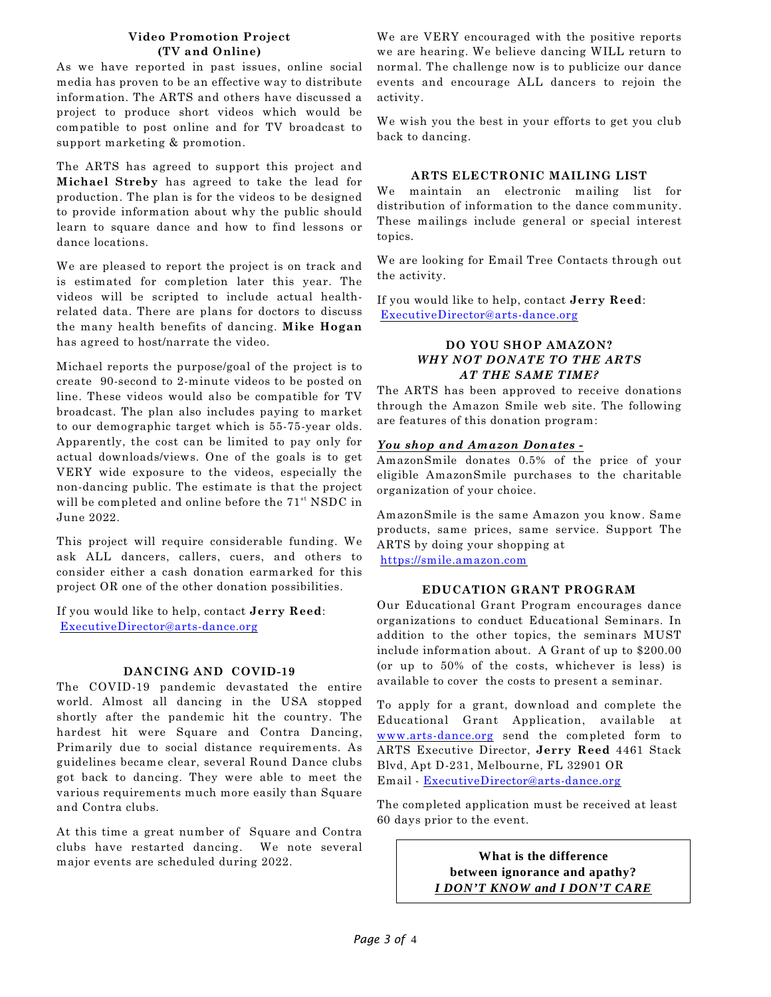#### **Video Promotion Project (TV and Online)**

As we have reported in past issues, online social media has proven to be an effective way to distribute information. The ARTS and others have discussed a project to produce short videos which would be compatible to post online and for TV broadcast to support marketing & promotion.

The ARTS has agreed to support this project and **Michael Streby** has agreed to take the lead for production. The plan is for the videos to be designed to provide information about why the public should learn to square dance and how to find lessons or dance locations.

We are pleased to report the project is on track and is estimated for completion later this year. The videos will be scripted to include actual healthrelated data. There are plans for doctors to discuss the many health benefits of dancing. **Mike Hogan** has agreed to host/narrate the video.

Michael reports the purpose/goal of the project is to create 90-second to 2-minute videos to be posted on line. These videos would also be compatible for TV broadcast. The plan also includes paying to market to our demographic target which is 55-75-year olds. Apparently, the cost can be limited to pay only for actual downloads/views. One of the goals is to get VERY wide exposure to the videos, especially the non-dancing public. The estimate is that the project will be completed and online before the  $71<sup>st</sup>$  NSDC in June 2022.

This project will require considerable funding. We ask ALL dancers, callers, cuers, and others to consider either a cash donation earmarked for this project OR one of the other donation possibilities.

If you would like to help, contact **Jerry Reed**: [ExecutiveDirector@arts-dance.org](mailto:ExecutiveDirector@arts-dance.org)

#### **DANCING AND COVID-19**

The COVID-19 pandemic devastated the entire world. Almost all dancing in the USA stopped shortly after the pandemic hit the country. The hardest hit were Square and Contra Dancing, Primarily due to social distance requirements. As guidelines became clear, several Round Dance clubs got back to dancing. They were able to meet the various requirements much more easily than Square and Contra clubs.

At this time a great number of Square and Contra clubs have restarted dancing. We note several major events are scheduled during 2022.

We are VERY encouraged with the positive reports we are hearing. We believe dancing WILL return to normal. The challenge now is to publicize our dance events and encourage ALL dancers to rejoin the activity.

We wish you the best in your efforts to get you club back to dancing.

#### **ARTS ELECTRONIC MAILING LIST**

We maintain an electronic mailing list for distribution of information to the dance community. These mailings include general or special interest topics.

We are looking for Email Tree Contacts through out the activity.

If you would like to help, contact **Jerry Reed**: [ExecutiveDirector@arts-dance.org](mailto:ExecutiveDirector@arts-dance.org)

#### **DO YOU SHOP AMAZON?** *WHY NOT DONATE TO THE ARTS AT THE SAME TIME?*

The ARTS has been approved to receive donations through the Amazon Smile web site. The following are features of this donation program:

#### *You shop and Amazon Donates -*

AmazonSmile donates 0.5% of the price of your eligible AmazonSmile purchases to the charitable organization of your choice.

AmazonSmile is the same Amazon you know. Same products, same prices, same service. Support The ARTS by doing your shopping at <https://smile.amazon.com>

#### **EDUCATION GRANT PROGRAM**

Our Educational Grant Program encourages dance organizations to conduct Educational Seminars. In addition to the other topics, the seminars MUST include information about. A Grant of up to \$200.00 (or up to 50% of the costs, whichever is less) is available to cover the costs to present a seminar.

To apply for a grant, download and complete the Educational Grant Application, available at [www.arts-dance.org](http://www.arts-dance.org) send the completed form to ARTS Executive Director, **Jerry Reed** 4461 Stack Blvd, Apt D-231, Melbourne, FL 32901 OR Email - [ExecutiveDirector@arts-dance.org](mailto:ExecutiveDirector@arts-dance.org)

The completed application must be received at least 60 days prior to the event.

> **What is the difference between ignorance and apathy?** *I DON'T KNOW and I DON'T CARE*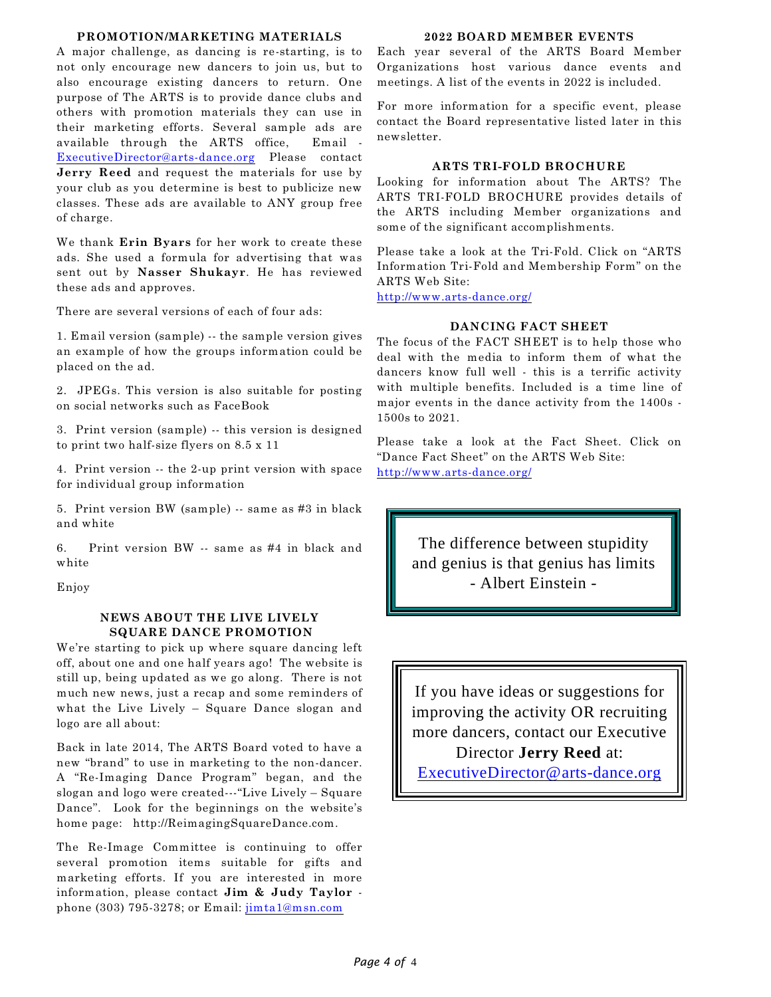#### **PROMOTION/MARKETING MATERIALS**

A major challenge, as dancing is re-starting, is to not only encourage new dancers to join us, but to also encourage existing dancers to return. One purpose of The ARTS is to provide dance clubs and others with promotion materials they can use in their marketing efforts. Several sample ads are available through the ARTS office, Email - [ExecutiveDirector@arts-dance.org](mailto:ExecutiveDirector@arts-dance.org) Please contact **Jerry Reed** and request the materials for use by your club as you determine is best to publicize new classes. These ads are available to ANY group free of charge.

We thank **Erin Byars** for her work to create these ads. She used a formula for advertising that was sent out by **Nasser Shukayr**. He has reviewed these ads and approves.

There are several versions of each of four ads:

1. Email version (sample) -- the sample version gives an example of how the groups information could be placed on the ad.

2. JPEGs. This version is also suitable for posting on social networks such as FaceBook

3. Print version (sample) -- this version is designed to print two half-size flyers on 8.5 x 11

4. Print version -- the 2-up print version with space for individual group information

5. Print version BW (sample) -- same as #3 in black and white

6. Print version BW -- same as #4 in black and white

Enjoy

#### **NEWS ABOUT THE LIVE LIVELY SQUARE DANCE PROMOTION**

We're starting to pick up where square dancing left off, about one and one half years ago! The website is still up, being updated as we go along. There is not much new news, just a recap and some reminders of what the Live Lively - Square Dance slogan and logo are all about:

Back in late 2014, The ARTS Board voted to have a new "brand" to use in marketing to the non-dancer. A "Re-Imaging Dance Program" began, and the slogan and logo were created---"Live Lively – Square Dance". Look for the beginnings on the website's home page: http://ReimagingSquareDance.com.

The Re-Image Committee is continuing to offer several promotion items suitable for gifts and marketing efforts. If you are interested in more information, please contact **Jim & Judy Taylor** phone (303) 795-3278; or Email: [jimta1@msn.com](mailto:jimta1@msn.com)

#### **2022 BOARD MEMBER EVENTS**

Each year several of the ARTS Board Member Organizations host various dance events and meetings. A list of the events in 2022 is included.

For more information for a specific event, please contact the Board representative listed later in this newsletter.

#### **ARTS TRI-FOLD BROCHURE**

Looking for information about The ARTS? The ARTS TRI-FOLD BROCHURE provides details of the ARTS including Member organizations and some of the significant accomplishments.

Please take a look at the Tri-Fold. Click on "ARTS Information Tri-Fold and Membership Form" on the ARTS Web Site:

<http://www.arts-dance.org/>

### **DANCING FACT SHEET**

The focus of the FACT SHEET is to help those who deal with the media to inform them of what the dancers know full well - this is a terrific activity with multiple benefits. Included is a time line of major events in the dance activity from the 1400s - 1500s to 2021.

Please take a look at the Fact Sheet. Click on "Dance Fact Sheet" on the ARTS Web Site: <http://www.arts-dance.org/>

> The difference between stupidity and genius is that genius has limits - Albert Einstein -

If you have ideas or suggestions for improving the activity OR recruiting more dancers, contact our Executive Director **Jerry Reed** at: [ExecutiveDirector@arts-dance.org](mailto:ExecutiveDirector@arts-dance.org)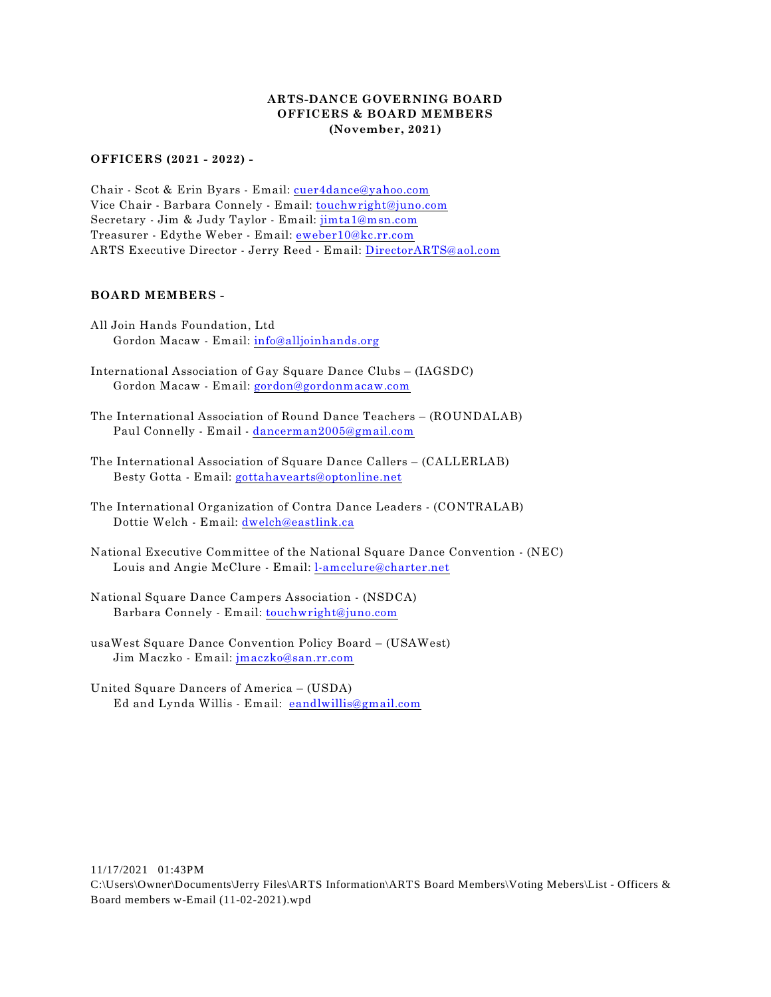#### **ARTS-DANCE GOVERNING BOARD OFFICERS & BOARD MEMBERS (November, 2021)**

#### **OFFICERS (2021 - 2022) -**

Chair - Scot & Erin Byars - Email: [cuer4dance@yahoo.com](mailto:cuer4dance@yahoo.com) Vice Chair - Barbara Connely - Email: [touchwright@juno.com](mailto:touchwright@juno.com) Secretary - Jim & Judy Taylor - Email: [jimta1@msn.com](mailto:jimta1@msn.com) Treasurer - Edythe Weber - Email: [eweber10@kc.rr.com](mailto:eweber10@kc.rr.com) ARTS Executive Director - Jerry Reed - Email: [DirectorARTS@aol.com](mailto:DirectorARTS@aol.com)

#### **BOARD MEMBERS -**

- All Join Hands Foundation, Ltd Gordon Macaw - Email: [info@alljoinhands.org](mailto:info@alljoinhands.org)
- International Association of Gay Square Dance Clubs (IAGSDC) Gordon Macaw - Email: [gordon@gordonmacaw.com](mailto:gordon@gordonmacaw.com)
- The International Association of Round Dance Teachers (ROUNDALAB) Paul Connelly - Email - [dancerman2005@gmail.com](mailto:dancerman2005@gmail.com)
- The International Association of Square Dance Callers (CALLERLAB) Besty Gotta - Email: [gottahavearts@optonline.net](mailto:gottahavearts@optonline.net)
- The International Organization of Contra Dance Leaders (CONTRALAB) Dottie Welch - Email: [dwelch@eastlink.ca](mailto:dwelch@eastlink.ca)
- National Executive Committee of the National Square Dance Convention (NEC) Louis and Angie McClure - Email: [l-amcclure@charter.net](mailto:l-amcclure@charter.net)
- National Square Dance Campers Association (NSDCA) Barbara Connely - Email: [touchwright@juno.com](mailto:touchwright@juno.com)
- usaWest Square Dance Convention Policy Board (USAWest) Jim Maczko - Email: [jmaczko@san.rr.com](mailto:jmaczko@san.rr.com)
- United Square Dancers of America (USDA) Ed and Lynda Willis - Email: [eandlwillis@gmail.com](mailto:eandlwillis@gmail.com)